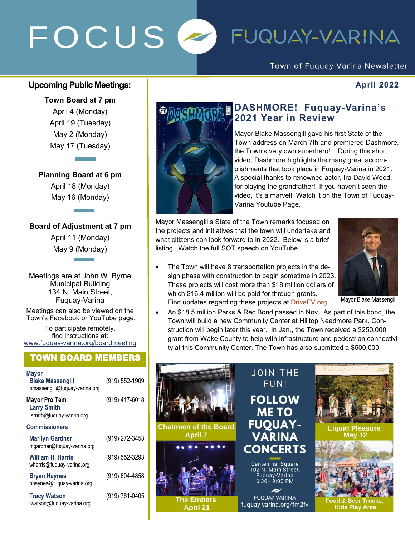# FOCUS<sup>2</sup> FUQUAY-VARINA

### Town of Fuquay-Varina Newsletter

#### **Upcoming Public Meetings:**  $\qquad \qquad$  $\qquad \qquad$  **April 2022**

**Town Board at 7 pm** April 4 (Monday) April 19 (Tuesday) May 2 (Monday) May 17 (Tuesday)

### **Planning Board at 6 pm**

April 18 (Monday) May 16 (Monday)

#### **Board of Adjustment at 7 pm**

April 11 (Monday) May 9 (Monday)

Meetings are at John W. Byrne Municipal Building 134 N. Main Street, Fuquay-Varina

Meetings can also be viewed on the Town's Facebook or YouTube page.

To participate remotely, find instructions at: www.fuquay-[varina.org/boardmeeting](http://www.fuquay-varina.org/boardmeeting)

### TOWN BOARD MEMBERS

| <b>Mayor</b><br><b>Blake Massengill</b><br>bmassengill@fuquay-varina.org | (919) 552-1909 |
|--------------------------------------------------------------------------|----------------|
| <b>Mayor Pro Tem</b><br><b>Larry Smith</b><br>Ismith@fuquay-varina.org   | (919) 417-6018 |
| <b>Commissioners</b>                                                     |                |
| <b>Marilyn Gardner</b><br>mgardner@fuquay-varina.org                     | (919) 272-3453 |
| William H. Harris<br>wharris@fuquay-varina.org                           | (919) 552-3293 |
| <b>Bryan Haynes</b><br>bhaynes@fuquay-varina.org                         | (919) 604-4858 |
| <b>Tracy Watson</b><br>twatson@fuquay-varina.org                         | (919) 761-0405 |



## **DASHMORE! Fuquay-Varina's 2021 Year in Review**

Mayor Blake Massengill gave his first State of the Town address on March 7th and premiered Dashmore, the Town's very own superhero! During this short video, Dashmore highlights the many great accomplishments that took place in Fuquay-Varina in 2021. A special thanks to renowned actor, Ira David Wood, for playing the grandfather! If you haven't seen the video, it's a marvel! Watch it on the Town of Fuquay-Varina Youtube Page.

Mayor Massengill's State of the Town remarks focused on the projects and initiatives that the town will undertake and what citizens can look forward to in 2022. Below is a brief listing. Watch the full SOT speech on YouTube.

• The Town will have 8 transportation projects in the design phase with construction to begin sometime in 2023. These projects will cost more than \$18 million dollars of which \$16.4 million will be paid for through grants. Find updates regarding these projects at [DriveFV.org](http://www.DriveFV.org)



Mayor Blake Massengill

• An \$18.5 million Parks & Rec Bond passed in Nov. As part of this bond, the Town will build a new Community Center at Hilltop Needmore Park. Construction will begin later this year. In Jan., the Town received a \$250,000 grant from Wake County to help with infrastructure and pedestrian connectivity at this Community Center. The Town has also submitted a \$500,000